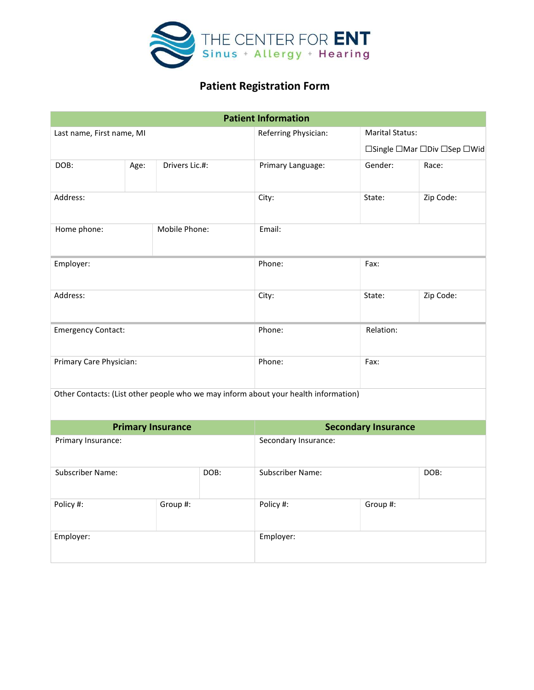

# Patient Registration Form

|                              |      |                | <b>Patient Information</b>                                                          |           |                             |  |  |
|------------------------------|------|----------------|-------------------------------------------------------------------------------------|-----------|-----------------------------|--|--|
| Last name, First name, MI    |      |                | Referring Physician:                                                                |           | <b>Marital Status:</b>      |  |  |
|                              |      |                |                                                                                     |           | □Single □Mar □Div □Sep □Wid |  |  |
| DOB:                         | Age: | Drivers Lic.#: | Primary Language:                                                                   | Gender:   | Race:                       |  |  |
| Address:                     |      | City:          | State:                                                                              | Zip Code: |                             |  |  |
| Mobile Phone:<br>Home phone: |      | Email:         |                                                                                     |           |                             |  |  |
| Employer:                    |      |                | Phone:                                                                              | Fax:      |                             |  |  |
| Address:                     |      |                | City:                                                                               | State:    | Zip Code:                   |  |  |
| <b>Emergency Contact:</b>    |      |                | Phone:                                                                              | Relation: |                             |  |  |
| Primary Care Physician:      |      | Phone:         | Fax:                                                                                |           |                             |  |  |
|                              |      |                | Other Contacts: (List other people who we may inform about your health information) |           |                             |  |  |

| <b>Primary Insurance</b> |          |      | <b>Secondary Insurance</b> |          |      |  |
|--------------------------|----------|------|----------------------------|----------|------|--|
| Primary Insurance:       |          |      | Secondary Insurance:       |          |      |  |
| Subscriber Name:         |          | DOB: | Subscriber Name:           |          | DOB: |  |
| Policy #:                | Group #: |      | Policy #:                  | Group #: |      |  |
| Employer:                |          |      | Employer:                  |          |      |  |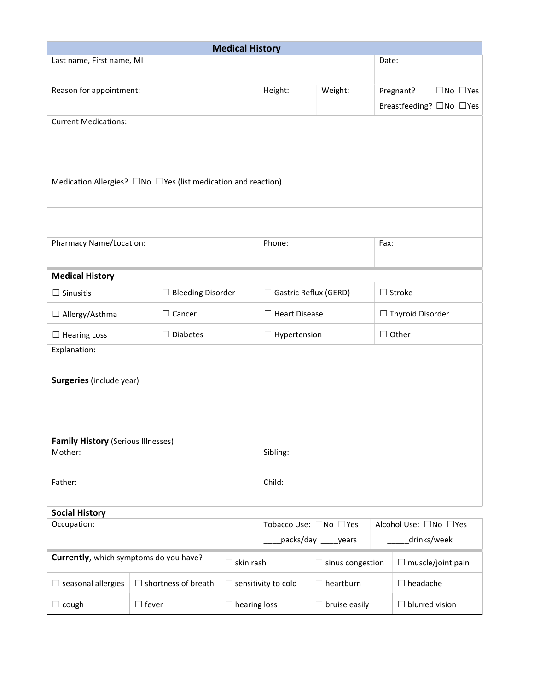| <b>Medical History</b>                                                    |              |                            |                                                                                        |                                             |                      |                         |                                         |  |
|---------------------------------------------------------------------------|--------------|----------------------------|----------------------------------------------------------------------------------------|---------------------------------------------|----------------------|-------------------------|-----------------------------------------|--|
| Last name, First name, MI                                                 |              |                            |                                                                                        |                                             |                      |                         | Date:                                   |  |
| Reason for appointment:                                                   |              |                            |                                                                                        | Height:                                     | Weight:              |                         | Pregnant?<br>$\square$ No $\square$ Yes |  |
|                                                                           |              |                            |                                                                                        |                                             |                      |                         | Breastfeeding? □No □Yes                 |  |
| <b>Current Medications:</b>                                               |              |                            |                                                                                        |                                             |                      |                         |                                         |  |
| Medication Allergies? $\Box$ No $\Box$ Yes (list medication and reaction) |              |                            |                                                                                        |                                             |                      |                         |                                         |  |
|                                                                           |              |                            |                                                                                        |                                             |                      |                         |                                         |  |
| <b>Pharmacy Name/Location:</b>                                            |              |                            |                                                                                        | Phone:                                      |                      |                         | Fax:                                    |  |
| <b>Medical History</b>                                                    |              |                            |                                                                                        |                                             |                      |                         |                                         |  |
| $\Box$ Sinusitis                                                          |              | $\Box$ Bleeding Disorder   |                                                                                        | $\Box$ Gastric Reflux (GERD)                |                      | $\Box$ Stroke           |                                         |  |
| $\Box$ Allergy/Asthma                                                     |              | $\Box$ Cancer              |                                                                                        | $\Box$ Heart Disease                        |                      | $\Box$ Thyroid Disorder |                                         |  |
| $\Box$ Hearing Loss                                                       |              | $\Box$ Diabetes            |                                                                                        |                                             | $\Box$ Hypertension  |                         | $\Box$ Other                            |  |
| Explanation:                                                              |              |                            |                                                                                        |                                             |                      |                         |                                         |  |
| <b>Surgeries</b> (include year)                                           |              |                            |                                                                                        |                                             |                      |                         |                                         |  |
|                                                                           |              |                            |                                                                                        |                                             |                      |                         |                                         |  |
| <b>Family History (Serious Illnesses)</b><br>Mother:                      |              |                            |                                                                                        | Sibling:                                    |                      |                         |                                         |  |
|                                                                           |              |                            |                                                                                        |                                             |                      |                         |                                         |  |
| Father:                                                                   |              |                            |                                                                                        | Child:                                      |                      |                         |                                         |  |
| <b>Social History</b>                                                     |              |                            |                                                                                        |                                             |                      |                         |                                         |  |
| Occupation:                                                               |              |                            | Tobacco Use: □No □Yes<br>Alcohol Use: □No □Yes<br>_packs/day _____years<br>drinks/week |                                             |                      |                         |                                         |  |
| Currently, which symptoms do you have?                                    |              |                            |                                                                                        | $\Box$ skin rash<br>$\Box$ sinus congestion |                      |                         | $\Box$ muscle/joint pain                |  |
| $\Box$ seasonal allergies                                                 |              | $\Box$ shortness of breath |                                                                                        | $\Box$ sensitivity to cold                  | $\Box$ heartburn     |                         | $\Box$ headache                         |  |
| $\Box$ cough                                                              | $\Box$ fever |                            | $\Box$ hearing loss                                                                    |                                             | $\Box$ bruise easily |                         | $\Box$ blurred vision                   |  |